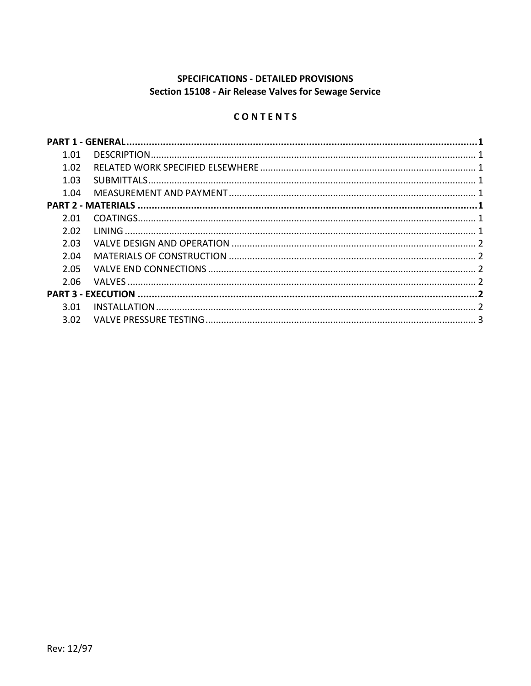# SPECIFICATIONS - DETAILED PROVISIONS Section 15108 - Air Release Valves for Sewage Service

# CONTENTS

| 1.01 |  |
|------|--|
| 1.02 |  |
| 1.03 |  |
| 1.04 |  |
|      |  |
| 2.01 |  |
| 2.02 |  |
| 2.03 |  |
| 2.04 |  |
| 2.05 |  |
| 2.06 |  |
|      |  |
| 3.01 |  |
| 3.02 |  |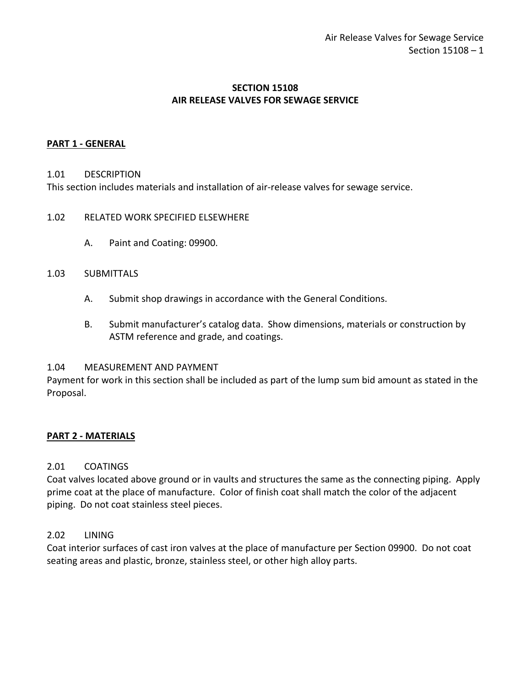# **SECTION 15108 AIR RELEASE VALVES FOR SEWAGE SERVICE**

# <span id="page-2-0"></span>**PART 1 - GENERAL**

#### <span id="page-2-1"></span>1.01 DESCRIPTION

This section includes materials and installation of air-release valves for sewage service.

#### <span id="page-2-2"></span>1.02 RELATED WORK SPECIFIED ELSEWHERE

A. Paint and Coating: 09900.

#### <span id="page-2-3"></span>1.03 SUBMITTALS

- A. Submit shop drawings in accordance with the General Conditions.
- B. Submit manufacturer's catalog data. Show dimensions, materials or construction by ASTM reference and grade, and coatings.

#### <span id="page-2-4"></span>1.04 MEASUREMENT AND PAYMENT

Payment for work in this section shall be included as part of the lump sum bid amount as stated in the Proposal.

## <span id="page-2-5"></span>**PART 2 - MATERIALS**

## <span id="page-2-6"></span>2.01 COATINGS

Coat valves located above ground or in vaults and structures the same as the connecting piping. Apply prime coat at the place of manufacture. Color of finish coat shall match the color of the adjacent piping. Do not coat stainless steel pieces.

## <span id="page-2-7"></span>2.02 LINING

Coat interior surfaces of cast iron valves at the place of manufacture per Section 09900. Do not coat seating areas and plastic, bronze, stainless steel, or other high alloy parts.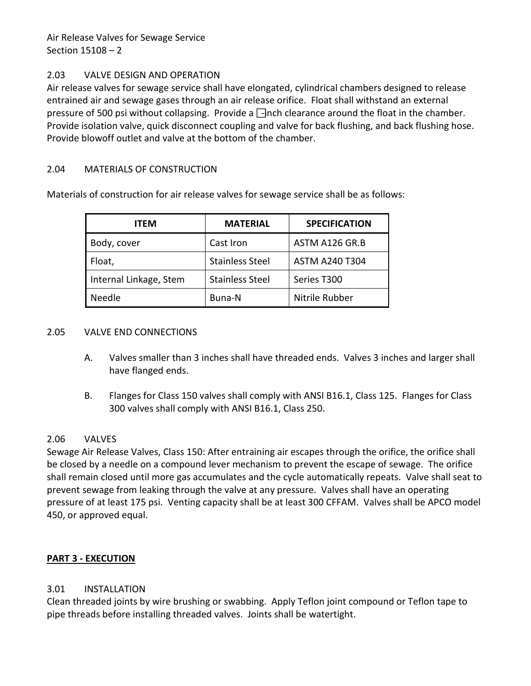Air Release Valves for Sewage Service Section 15108 – 2

# <span id="page-3-0"></span>2.03 VALVE DESIGN AND OPERATION

Air release valves for sewage service shall have elongated, cylindrical chambers designed to release entrained air and sewage gases through an air release orifice. Float shall withstand an external pressure of 500 psi without collapsing. Provide a  $\Box$ inch clearance around the float in the chamber. Provide isolation valve, quick disconnect coupling and valve for back flushing, and back flushing hose. Provide blowoff outlet and valve at the bottom of the chamber.

# <span id="page-3-1"></span>2.04 MATERIALS OF CONSTRUCTION

Materials of construction for air release valves for sewage service shall be as follows:

| <b>ITEM</b>            | <b>MATERIAL</b>        | <b>SPECIFICATION</b>  |
|------------------------|------------------------|-----------------------|
| Body, cover            | Cast Iron              | ASTM A126 GR.B        |
| Float,                 | <b>Stainless Steel</b> | <b>ASTM A240 T304</b> |
| Internal Linkage, Stem | <b>Stainless Steel</b> | Series T300           |
| <b>Needle</b>          | Buna-N                 | Nitrile Rubber        |

#### <span id="page-3-2"></span>2.05 VALVE END CONNECTIONS

- A. Valves smaller than 3 inches shall have threaded ends. Valves 3 inches and larger shall have flanged ends.
- B. Flanges for Class 150 valves shall comply with ANSI B16.1, Class 125. Flanges for Class 300 valves shall comply with ANSI B16.1, Class 250.

## <span id="page-3-3"></span>2.06 VALVES

Sewage Air Release Valves, Class 150: After entraining air escapes through the orifice, the orifice shall be closed by a needle on a compound lever mechanism to prevent the escape of sewage. The orifice shall remain closed until more gas accumulates and the cycle automatically repeats. Valve shall seat to prevent sewage from leaking through the valve at any pressure. Valves shall have an operating pressure of at least 175 psi. Venting capacity shall be at least 300 CFFAM. Valves shall be APCO model 450, or approved equal.

## <span id="page-3-4"></span>**PART 3 - EXECUTION**

## <span id="page-3-5"></span>3.01 INSTALLATION

Clean threaded joints by wire brushing or swabbing. Apply Teflon joint compound or Teflon tape to pipe threads before installing threaded valves. Joints shall be watertight.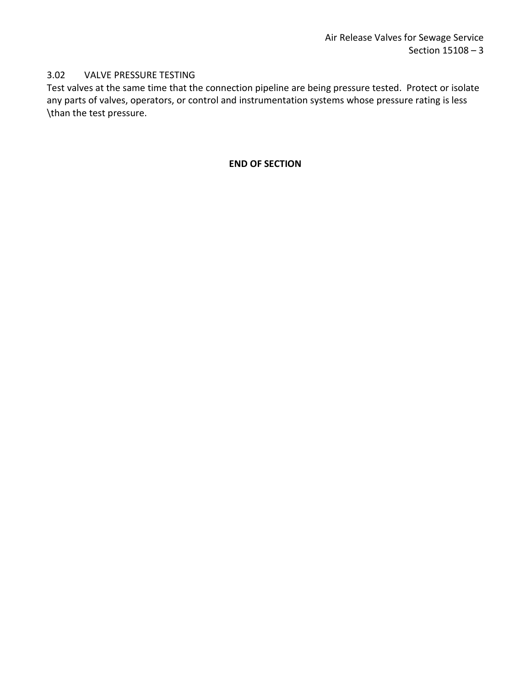# <span id="page-4-0"></span>3.02 VALVE PRESSURE TESTING

Test valves at the same time that the connection pipeline are being pressure tested. Protect or isolate any parts of valves, operators, or control and instrumentation systems whose pressure rating is less \than the test pressure.

# **END OF SECTION**